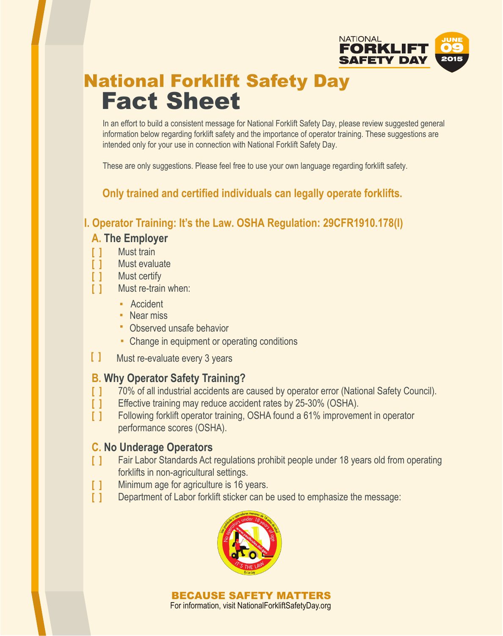

# National Forklift Safety Day Fact Sheet

In an effort to build a consistent message for National Forklift Safety Day, please review suggested general information below regarding forklift safety and the importance of operator training. These suggestions are intended only for your use in connection with National Forklift Safety Day.

These are only suggestions. Please feel free to use your own language regarding forklift safety.

**Only trained and certified individuals can legally operate forklifts.**

**I. Operator Training: It's the Law. OSHA Regulation: 29CFR1910.178(I)**

### **A. The Employer**

- **[ ]** Must train
- **[ ]** Must evaluate
- **[ ]** Must certify
- **[ ]** Must re-train when:
	- **▪** Accident
	- **▪** Near miss
	- **▪** Observed unsafe behavior
	- **▪** Change in equipment or operating conditions
- **[ ]** Must re-evaluate every 3 years

### **B. Why Operator Safety Training?**

- **[ ]** 70% of all industrial accidents are caused by operator error (National Safety Council).
- **[ ]** Effective training may reduce accident rates by 25-30% (OSHA).
- **[ ]** Following forklift operator training, OSHA found a 61% improvement in operator performance scores (OSHA).

#### **C. No Underage Operators**

- **[ ]** Fair Labor Standards Act regulations prohibit people under 18 years old from operating forklifts in non-agricultural settings.
- **[ ]** Minimum age for agriculture is 16 years.
- **[ ]** Department of Labor forklift sticker can be used to emphasize the message:



BECAUSE SAFETY MATTERS For information, visit NationalForkliftSafetyDay.org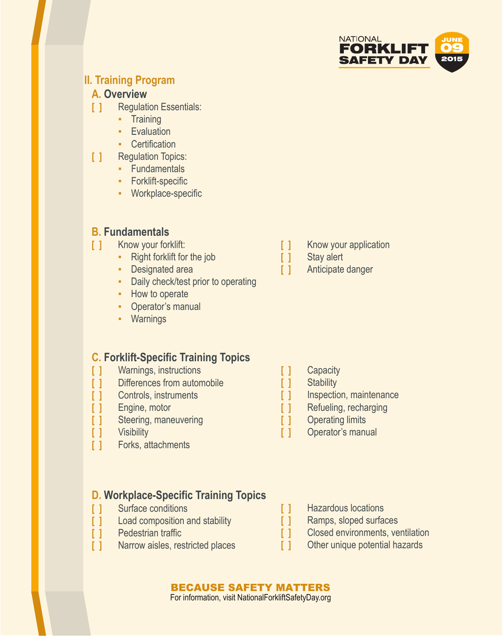

#### **II. Training Program**

#### **A. Overview**

- **[ ]** Regulation Essentials:
	- Training
	- **Evaluation**
	- Certification
- **[ ]** Regulation Topics:
	- Fundamentals
	- Forklift-specific
	- Workplace-specific

### **B. Fundamentals**

- **[ ]** Know your forklift:
	- Right forklift for the job
	- Designated area
	- Daily check/test prior to operating
	- How to operate
	- Operator's manual
	- Warnings

#### **C. Forklift-Specific Training Topics**

- **[ ]** Warnings, instructions
- **[ ]** Differences from automobile
- **[ ]** Controls, instruments
- **[ ]** Engine, motor
- **[ ]** Steering, maneuvering
- **[ ]** Visibility
- **[ ]** Forks, attachments

- **D. Workplace-Specific Training Topics [ ]** Surface conditions
- **[ ]** Load composition and stability
- **[ ]** Pedestrian traffic
- **[ ]** Narrow aisles, restricted places
- **[ ]** Know your application
- **[ ]** Stay alert
- **[ ]** Anticipate danger

- **[ ]** Capacity
- **[ ]** Stability
- **[ ]** Inspection, maintenance
- **[ ]** Refueling, recharging
- **[ ]** Operating limits
- **[ ]** Operator's manual
- **[ ]** Hazardous locations
- **[ ]** Ramps, sloped surfaces
- **[ ]** Closed environments, ventilation
- **[ ]** Other unique potential hazards